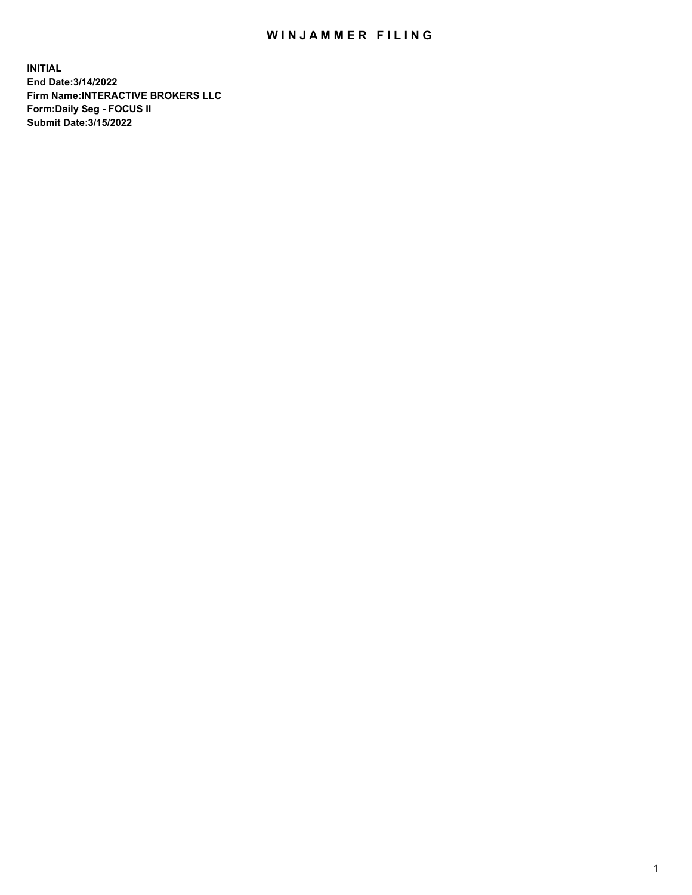## WIN JAMMER FILING

**INITIAL End Date:3/14/2022 Firm Name:INTERACTIVE BROKERS LLC Form:Daily Seg - FOCUS II Submit Date:3/15/2022**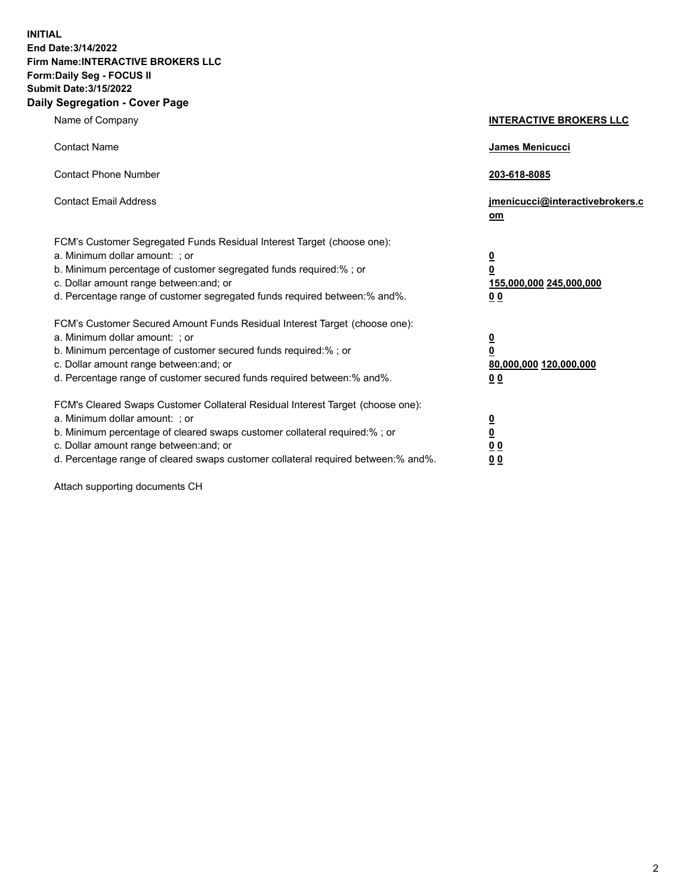**INITIAL End Date:3/14/2022 Firm Name:INTERACTIVE BROKERS LLC Form:Daily Seg - FOCUS II Submit Date:3/15/2022 Daily Segregation - Cover Page**

| Name of Company                                                                                                                                                                                                                                                                                                                | <b>INTERACTIVE BROKERS LLC</b>                                                                  |  |
|--------------------------------------------------------------------------------------------------------------------------------------------------------------------------------------------------------------------------------------------------------------------------------------------------------------------------------|-------------------------------------------------------------------------------------------------|--|
| <b>Contact Name</b>                                                                                                                                                                                                                                                                                                            | James Menicucci                                                                                 |  |
| <b>Contact Phone Number</b>                                                                                                                                                                                                                                                                                                    | 203-618-8085                                                                                    |  |
| <b>Contact Email Address</b>                                                                                                                                                                                                                                                                                                   | jmenicucci@interactivebrokers.c<br>om                                                           |  |
| FCM's Customer Segregated Funds Residual Interest Target (choose one):<br>a. Minimum dollar amount: ; or<br>b. Minimum percentage of customer segregated funds required:%; or<br>c. Dollar amount range between: and; or<br>d. Percentage range of customer segregated funds required between:% and%.                          | $\overline{\mathbf{0}}$<br>$\overline{\mathbf{0}}$<br>155,000,000 245,000,000<br>0 <sub>0</sub> |  |
| FCM's Customer Secured Amount Funds Residual Interest Target (choose one):<br>a. Minimum dollar amount: ; or<br>b. Minimum percentage of customer secured funds required:%; or<br>c. Dollar amount range between: and; or<br>d. Percentage range of customer secured funds required between:% and%.                            | <u>0</u><br>$\overline{\mathbf{0}}$<br>80,000,000 120,000,000<br>00                             |  |
| FCM's Cleared Swaps Customer Collateral Residual Interest Target (choose one):<br>a. Minimum dollar amount: ; or<br>b. Minimum percentage of cleared swaps customer collateral required:% ; or<br>c. Dollar amount range between: and; or<br>d. Percentage range of cleared swaps customer collateral required between:% and%. | <u>0</u><br>$\overline{\mathbf{0}}$<br>$\underline{0}$ $\underline{0}$<br>0 <sub>0</sub>        |  |

Attach supporting documents CH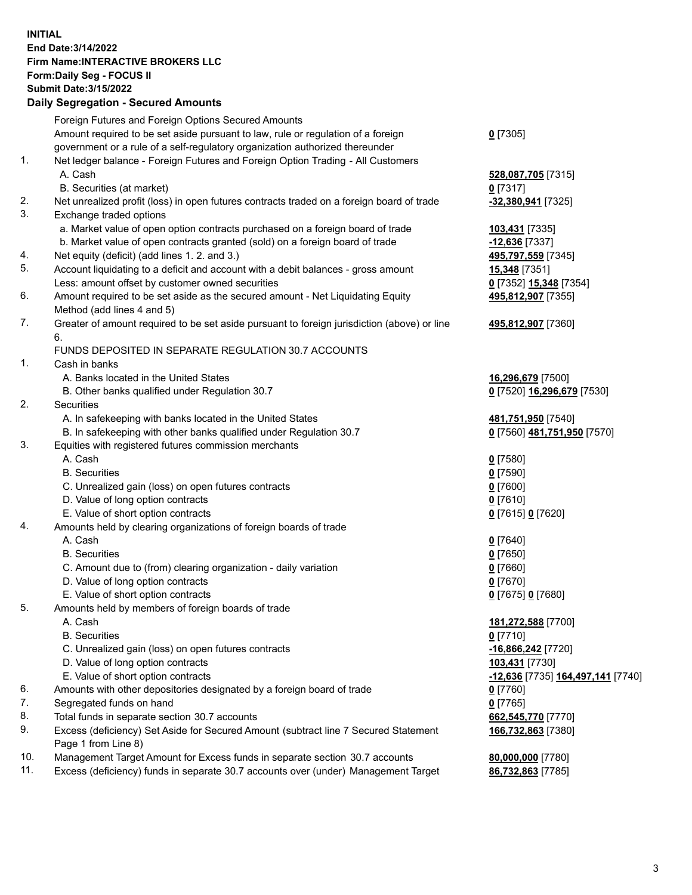**INITIAL End Date:3/14/2022 Firm Name:INTERACTIVE BROKERS LLC Form:Daily Seg - FOCUS II Submit Date:3/15/2022 Daily Segregation - Secured Amounts**

## Foreign Futures and Foreign Options Secured Amounts Amount required to be set aside pursuant to law, rule or regulation of a foreign government or a rule of a self-regulatory organization authorized thereunder **0** [7305] 1. Net ledger balance - Foreign Futures and Foreign Option Trading - All Customers A. Cash **528,087,705** [7315] B. Securities (at market) **0** [7317] 2. Net unrealized profit (loss) in open futures contracts traded on a foreign board of trade **-32,380,941** [7325] 3. Exchange traded options a. Market value of open option contracts purchased on a foreign board of trade **103,431** [7335] b. Market value of open contracts granted (sold) on a foreign board of trade **-12,636** [7337] 4. Net equity (deficit) (add lines 1. 2. and 3.) **495,797,559** [7345] 5. Account liquidating to a deficit and account with a debit balances - gross amount **15,348** [7351] Less: amount offset by customer owned securities **0** [7352] **15,348** [7354] 6. Amount required to be set aside as the secured amount - Net Liquidating Equity Method (add lines 4 and 5) **495,812,907** [7355] 7. Greater of amount required to be set aside pursuant to foreign jurisdiction (above) or line 6. **495,812,907** [7360] FUNDS DEPOSITED IN SEPARATE REGULATION 30.7 ACCOUNTS 1. Cash in banks A. Banks located in the United States **16,296,679** [7500] B. Other banks qualified under Regulation 30.7 **0** [7520] **16,296,679** [7530] 2. Securities A. In safekeeping with banks located in the United States **481,751,950** [7540] B. In safekeeping with other banks qualified under Regulation 30.7 **0** [7560] **481,751,950** [7570] 3. Equities with registered futures commission merchants A. Cash **0** [7580] B. Securities **0** [7590] C. Unrealized gain (loss) on open futures contracts **0** [7600] D. Value of long option contracts **0** [7610] E. Value of short option contracts **0** [7615] **0** [7620] 4. Amounts held by clearing organizations of foreign boards of trade A. Cash **0** [7640] B. Securities **0** [7650] C. Amount due to (from) clearing organization - daily variation **0** [7660] D. Value of long option contracts **0** [7670] E. Value of short option contracts **0** [7675] **0** [7680] 5. Amounts held by members of foreign boards of trade A. Cash **181,272,588** [7700] B. Securities **0** [7710] C. Unrealized gain (loss) on open futures contracts **-16,866,242** [7720] D. Value of long option contracts **103,431** [7730] E. Value of short option contracts **-12,636** [7735] **164,497,141** [7740] 6. Amounts with other depositories designated by a foreign board of trade **0** [7760] 7. Segregated funds on hand **0** [7765] 8. Total funds in separate section 30.7 accounts **662,545,770** [7770] 9. Excess (deficiency) Set Aside for Secured Amount (subtract line 7 Secured Statement Page 1 from Line 8) **166,732,863** [7380] 10. Management Target Amount for Excess funds in separate section 30.7 accounts **80,000,000** [7780] 11. Excess (deficiency) funds in separate 30.7 accounts over (under) Management Target **86,732,863** [7785]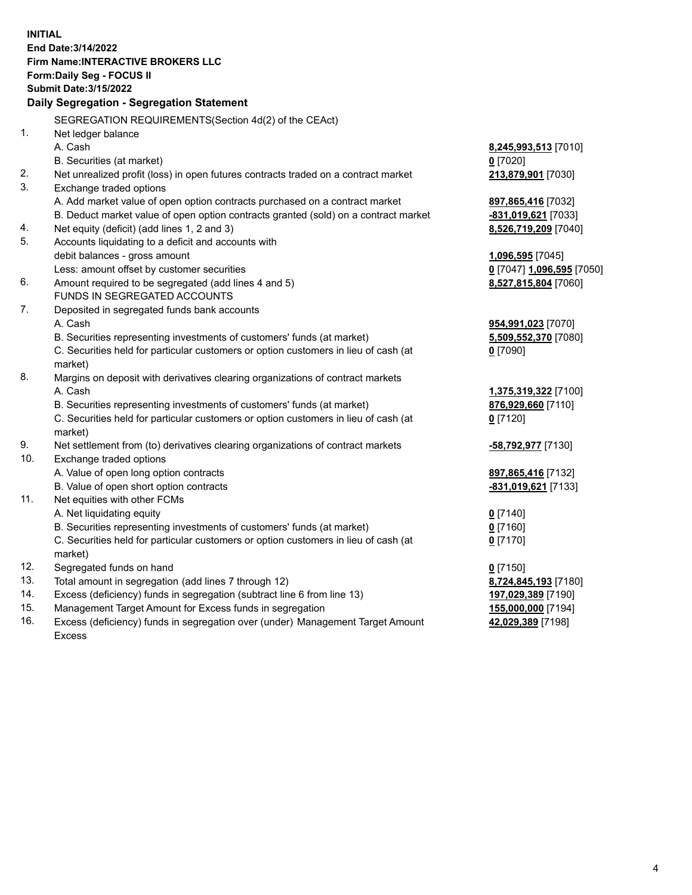**INITIAL End Date:3/14/2022 Firm Name:INTERACTIVE BROKERS LLC Form:Daily Seg - FOCUS II Submit Date:3/15/2022 Daily Segregation - Segregation Statement** SEGREGATION REQUIREMENTS(Section 4d(2) of the CEAct) 1. Net ledger balance A. Cash **8,245,993,513** [7010] B. Securities (at market) **0** [7020] 2. Net unrealized profit (loss) in open futures contracts traded on a contract market **213,879,901** [7030] 3. Exchange traded options A. Add market value of open option contracts purchased on a contract market **897,865,416** [7032] B. Deduct market value of open option contracts granted (sold) on a contract market **-831,019,621** [7033] 4. Net equity (deficit) (add lines 1, 2 and 3) **8,526,719,209** [7040] 5. Accounts liquidating to a deficit and accounts with debit balances - gross amount **1,096,595** [7045] Less: amount offset by customer securities **0** [7047] **1,096,595** [7050] 6. Amount required to be segregated (add lines 4 and 5) **8,527,815,804** [7060] FUNDS IN SEGREGATED ACCOUNTS 7. Deposited in segregated funds bank accounts A. Cash **954,991,023** [7070] B. Securities representing investments of customers' funds (at market) **5,509,552,370** [7080] C. Securities held for particular customers or option customers in lieu of cash (at market) **0** [7090] 8. Margins on deposit with derivatives clearing organizations of contract markets A. Cash **1,375,319,322** [7100] B. Securities representing investments of customers' funds (at market) **876,929,660** [7110] C. Securities held for particular customers or option customers in lieu of cash (at market) **0** [7120] 9. Net settlement from (to) derivatives clearing organizations of contract markets **-58,792,977** [7130] 10. Exchange traded options A. Value of open long option contracts **897,865,416** [7132] B. Value of open short option contracts **-831,019,621** [7133] 11. Net equities with other FCMs A. Net liquidating equity **0** [7140] B. Securities representing investments of customers' funds (at market) **0** [7160] C. Securities held for particular customers or option customers in lieu of cash (at market) **0** [7170] 12. Segregated funds on hand **0** [7150] 13. Total amount in segregation (add lines 7 through 12) **8,724,845,193** [7180] 14. Excess (deficiency) funds in segregation (subtract line 6 from line 13) **197,029,389** [7190] 15. Management Target Amount for Excess funds in segregation **155,000,000** [7194]

16. Excess (deficiency) funds in segregation over (under) Management Target Amount Excess

**42,029,389** [7198]